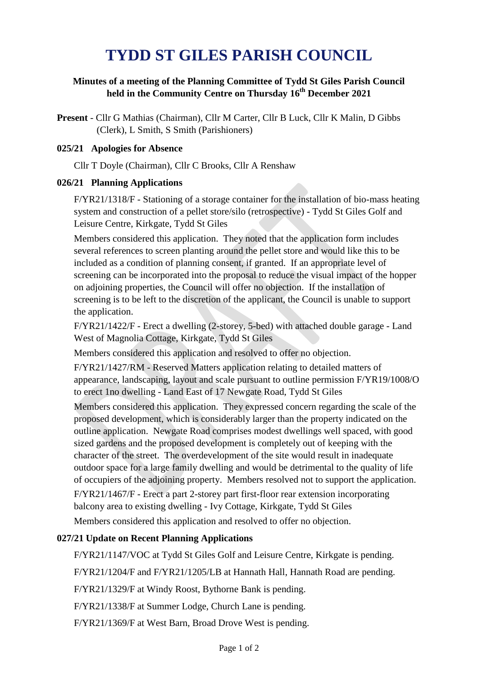# **TYDD ST GILES PARISH COUNCIL**

### **Minutes of a meeting of the Planning Committee of Tydd St Giles Parish Council held in the Community Centre on Thursday 16th December 2021**

**Present** - Cllr G Mathias (Chairman), Cllr M Carter, Cllr B Luck, Cllr K Malin, D Gibbs (Clerk), L Smith, S Smith (Parishioners)

#### **025/21 Apologies for Absence**

Cllr T Doyle (Chairman), Cllr C Brooks, Cllr A Renshaw

#### **026/21 Planning Applications**

F/YR21/1318/F - Stationing of a storage container for the installation of bio-mass heating system and construction of a pellet store/silo (retrospective) - Tydd St Giles Golf and Leisure Centre, Kirkgate, Tydd St Giles

Members considered this application. They noted that the application form includes several references to screen planting around the pellet store and would like this to be included as a condition of planning consent, if granted. If an appropriate level of screening can be incorporated into the proposal to reduce the visual impact of the hopper on adjoining properties, the Council will offer no objection. If the installation of screening is to be left to the discretion of the applicant, the Council is unable to support the application.

F/YR21/1422/F - Erect a dwelling (2-storey, 5-bed) with attached double garage - Land West of Magnolia Cottage, Kirkgate, Tydd St Giles

Members considered this application and resolved to offer no objection.

F/YR21/1427/RM - Reserved Matters application relating to detailed matters of appearance, landscaping, layout and scale pursuant to outline permission F/YR19/1008/O to erect 1no dwelling - Land East of 17 Newgate Road, Tydd St Giles

Members considered this application. They expressed concern regarding the scale of the proposed development, which is considerably larger than the property indicated on the outline application. Newgate Road comprises modest dwellings well spaced, with good sized gardens and the proposed development is completely out of keeping with the character of the street. The overdevelopment of the site would result in inadequate outdoor space for a large family dwelling and would be detrimental to the quality of life of occupiers of the adjoining property. Members resolved not to support the application. F/YR21/1467/F - Erect a part 2-storey part first-floor rear extension incorporating balcony area to existing dwelling - Ivy Cottage, Kirkgate, Tydd St Giles

Members considered this application and resolved to offer no objection.

#### **027/21 Update on Recent Planning Applications**

F/YR21/1147/VOC at Tydd St Giles Golf and Leisure Centre, Kirkgate is pending.

F/YR21/1204/F and F/YR21/1205/LB at Hannath Hall, Hannath Road are pending.

F/YR21/1329/F at Windy Roost, Bythorne Bank is pending.

F/YR21/1338/F at Summer Lodge, Church Lane is pending.

F/YR21/1369/F at West Barn, Broad Drove West is pending.